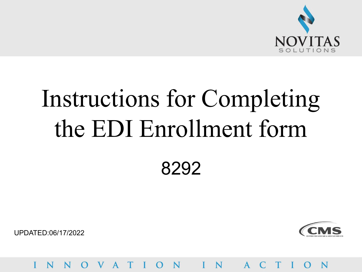

# Instructions for Completing the EDI Enrollment form 8292

UPDATED:06/17/2022



OVATION I  $A$ N **STEP STEP** N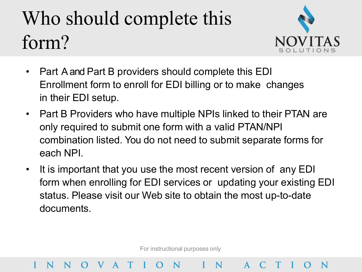## Who should complete this form?

VAT



- Part A and Part B providers should complete this EDI Enrollment form to enroll for EDI billing or to make changes in their EDI setup.
- Part B Providers who have multiple NPIs linked to their PTAN are only required to submit one form with a valid PTAN/NPI combination listed. You do not need to submit separate forms for each NPI.
- It is important that you use the most recent version of any EDI form when enrolling for EDI services or updating your existing EDI status. Please visit our Web site to obtain the most up-to-date documents.

For instructional purposes only

N

 $O N$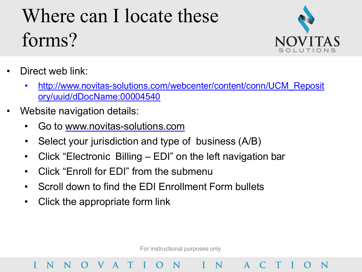### Where can I locate these forms?



- Direct web link:
	- http://www.novitas-solutions.com/webcenter/content/conn/UCM\_Reposit ory/uuid/dDocName:00004540
- Website navigation details:
	- Go to [www.novitas-solutions.com](http://www.novitas-solutions.com/)
	- Select your jurisdiction and type of business (A/B)
	- Click "Electronic Billing EDI" on the left navigation bar
	- Click "Enroll for EDI" from the submenu
	- Scroll down to find the EDI Enrollment Form bullets
	- Click the appropriate form link

V A

For instructional purposes only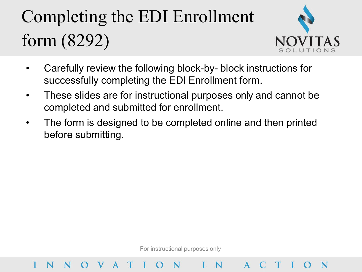### Completing the EDI Enrollment form (8292)



ACTIO

- Carefully review the following block-by- block instructions for successfully completing the EDI Enrollment form.
- These slides are for instructional purposes only and cannot be completed and submitted for enrollment.
- The form is designed to be completed online and then printed before submitting.

For instructional purposes only

N

OVATION I

N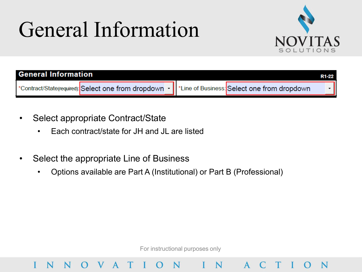## General Information



| <b>General Information</b> |                                                                                                     |  | R1-22 |
|----------------------------|-----------------------------------------------------------------------------------------------------|--|-------|
|                            | *Contract/State(required): Select one from dropdown -   *Line of Business: Select one from dropdown |  |       |

- Select appropriate Contract/State
	- Each contract/state for JH and JL are listed
- Select the appropriate Line of Business

V A

N

N

• Options available are Part A (Institutional) or Part B (Professional)

For instructional purposes only

N

 $\Omega$ 

 $\mathsf{A}$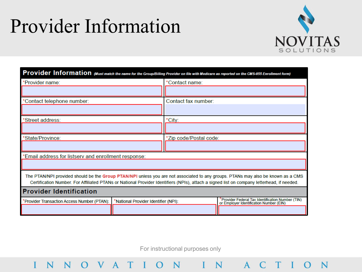### Provider Information

O V A T I

 $\mathbf{I}$ 

N

 $N$ 



TION

| Provider Information (Must match the name for the Group/Billing Provider on file with Medicare as reported on the CMS-855 Enrollment form)                                                                                                                                     |  |                                                                                              |  |  |
|--------------------------------------------------------------------------------------------------------------------------------------------------------------------------------------------------------------------------------------------------------------------------------|--|----------------------------------------------------------------------------------------------|--|--|
| 'Provider name:                                                                                                                                                                                                                                                                |  | *Contact name:                                                                               |  |  |
|                                                                                                                                                                                                                                                                                |  |                                                                                              |  |  |
| Contact telephone number:                                                                                                                                                                                                                                                      |  | Contact fax number:                                                                          |  |  |
|                                                                                                                                                                                                                                                                                |  |                                                                                              |  |  |
| Street address:                                                                                                                                                                                                                                                                |  | *City:                                                                                       |  |  |
|                                                                                                                                                                                                                                                                                |  |                                                                                              |  |  |
| State/Province:                                                                                                                                                                                                                                                                |  | *Zip code/Postal code:                                                                       |  |  |
|                                                                                                                                                                                                                                                                                |  |                                                                                              |  |  |
| Email address for listserv and enrollment response:                                                                                                                                                                                                                            |  |                                                                                              |  |  |
|                                                                                                                                                                                                                                                                                |  |                                                                                              |  |  |
| The PTAN/NPI provided should be the Group PTAN/NPI unless you are not associated to any groups. PTANs may also be known as a CMS<br>Certification Number. For Affiliated PTANs or National Provider Identifiers (NPIs), attach a signed list on company letterhead, if needed. |  |                                                                                              |  |  |
| <b>Provider Identification</b>                                                                                                                                                                                                                                                 |  |                                                                                              |  |  |
| 'Provider Transaction Access Number (PTAN):<br>'National Provider Identifier (NPI):                                                                                                                                                                                            |  | 'Provider Federal Tax Identification Number (TIN)<br>or Employer Identification Number (EIN) |  |  |
|                                                                                                                                                                                                                                                                                |  |                                                                                              |  |  |

For instructional purposes only

 $O N$ 

IN AC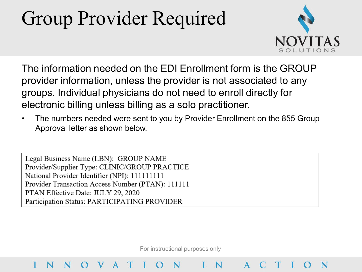### Group Provider Required



The information needed on the EDI Enrollment form is the GROUP provider information, unless the provider is not associated to any groups. Individual physicians do not need to enroll directly for electronic billing unless billing as a solo practitioner.

• The numbers needed were sent to you by Provider Enrollment on the 855 Group Approval letter as shown below.

Legal Business Name (LBN): GROUP NAME Provider/Supplier Type: CLINIC/GROUP PRACTICE National Provider Identifier (NPI): 111111111 Provider Transaction Access Number (PTAN): 111111 PTAN Effective Date: JULY 29, 2020 Participation Status: PARTICIPATING PROVIDER

V A T

For instructional purposes only

N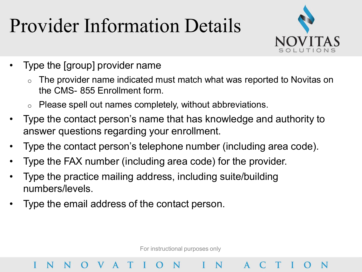### Provider Information Details



- Type the [group] provider name
	- The provider name indicated must match what was reported to Novitas on the CMS- 855 Enrollment form.
	- $\circ$  Please spell out names completely, without abbreviations.
- Type the contact person's name that has knowledge and authority to answer questions regarding your enrollment.
- Type the contact person's telephone number (including area code).
- Type the FAX number (including area code) for the provider.
- Type the practice mailing address, including suite/building numbers/levels.
- Type the email address of the contact person.

O V A T I

N

For instructional purposes only

 $O N$ 

 $\mathbf{A}$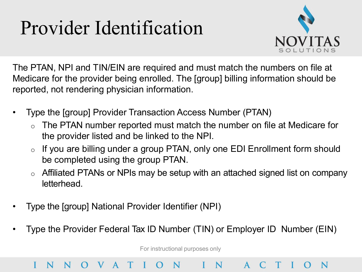### Provider Identification



The PTAN, NPI and TIN/EIN are required and must match the numbers on file at Medicare for the provider being enrolled. The [group] billing information should be reported, not rendering physician information.

- Type the [group] Provider Transaction Access Number (PTAN)
	- The PTAN number reported must match the number on file at Medicare for the provider listed and be linked to the NPI.
	- $\circ$  If you are billing under a group PTAN, only one EDI Enrollment form should be completed using the group PTAN.
	- $\circ$  Affiliated PTANs or NPIs may be setup with an attached signed list on company letterhead.
- Type the [group] National Provider Identifier (NPI)

V A T

N

• Type the Provider Federal Tax ID Number (TIN) or Employer ID Number (EIN)

N

For instructional purposes only

 $A$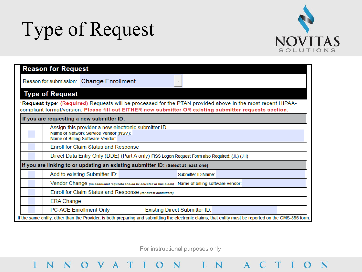### Type of Request

 $\mathbf{I}$ 

N



| <b>Reason for Request</b>                                                                                                                                                                                                     |  |  |  |
|-------------------------------------------------------------------------------------------------------------------------------------------------------------------------------------------------------------------------------|--|--|--|
| Reason for submission: Change Enrollment                                                                                                                                                                                      |  |  |  |
| <b>Type of Request</b>                                                                                                                                                                                                        |  |  |  |
| * <b>Request type</b> : (Required) Requests will be processed for the PTAN provided above in the most recent HIPAA-<br>compliant format/version. Please fill out EITHER new submitter OR existing submitter requests section. |  |  |  |
| If you are requesting a new submitter ID:                                                                                                                                                                                     |  |  |  |
| Assign this provider a new electronic submitter ID.<br>Name of Network Service Vendor (NSV):<br>Name of Billing Software Vendor:                                                                                              |  |  |  |
| <b>Enroll for Claim Status and Response</b>                                                                                                                                                                                   |  |  |  |
| Direct Data Entry Only (DDE) (Part A only) FISS Logon Request Form also Required: (JL) (JH)                                                                                                                                   |  |  |  |
| If you are linking to or updating an existing submitter ID: (Select at least one)                                                                                                                                             |  |  |  |
| Add to existing Submitter ID:<br>Submitter ID Name:                                                                                                                                                                           |  |  |  |
| Vendor Change (no additional requests should be selected in this block) Name of billing software vendor:                                                                                                                      |  |  |  |
| Enroll for Claim Status and Response (for direct submitters)                                                                                                                                                                  |  |  |  |
| <b>ERA Change</b>                                                                                                                                                                                                             |  |  |  |
| <b>PC-ACE Enrollment Only</b><br><b>Existing Direct Submitter ID:</b>                                                                                                                                                         |  |  |  |
| If the same entity, other than the Provider, is both preparing and submitting the electronic claims, that entity must be reported on the CMS-855 form.                                                                        |  |  |  |

For instructional purposes only

NOVATION IN ACTION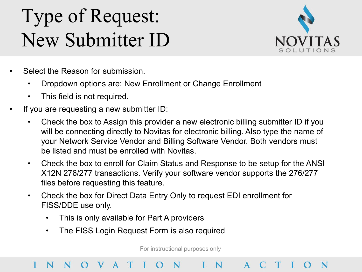### Type of Request: New Submitter ID



- Select the Reason for submission.
	- Dropdown options are: New Enrollment or Change Enrollment
	- This field is not required.
- If you are requesting a new submitter ID:
	- Check the box to Assign this provider a new electronic billing submitter ID if you will be connecting directly to Novitas for electronic billing. Also type the name of your Network Service Vendor and Billing Software Vendor. Both vendors must be listed and must be enrolled with Novitas.
	- Check the box to enroll for Claim Status and Response to be setup for the ANSI X12N 276/277 transactions. Verify your software vendor supports the 276/277 files before requesting this feature.
	- Check the box for Direct Data Entry Only to request EDI enrollment for FISS/DDE use only.
		- This is only available for Part A providers
		- The FISS Login Request Form is also required

For instructional purposes only

### N IN V A T  $\mathbf{A}$ N N  $\Omega$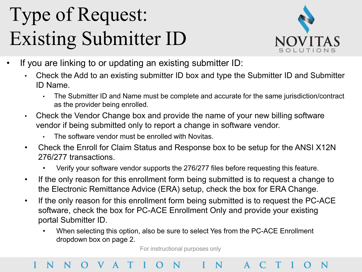## Type of Request: Existing Submitter ID



- If you are linking to or updating an existing submitter ID:
	- Check the Add to an existing submitter ID box and type the Submitter ID and Submitter ID Name.
		- The Submitter ID and Name must be complete and accurate for the same jurisdiction/contract as the provider being enrolled.
	- Check the Vendor Change box and provide the name of your new billing software vendor if being submitted only to report a change in software vendor.
		- The software vendor must be enrolled with Novitas.
	- Check the Enroll for Claim Status and Response box to be setup for the ANSI X12N 276/277 transactions.
		- Verify your software vendor supports the 276/277 files before requesting this feature.
	- If the only reason for this enrollment form being submitted is to request a change to the Electronic Remittance Advice (ERA) setup, check the box for ERA Change.
	- If the only reason for this enrollment form being submitted is to request the PC-ACE software, check the box for PC-ACE Enrollment Only and provide your existing portal Submitter ID.
		- When selecting this option, also be sure to select Yes from the PC-ACE Enrollment dropdown box on page 2.

For instructional purposes only

### N  $A$ N N V A T N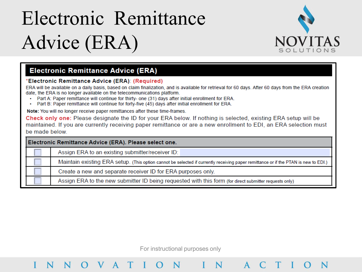## Electronic Remittance Advice (ERA)



### **Electronic Remittance Advice (ERA)**

### 'Electronic Remittance Advice (ERA): (Required)

ERA will be available on a daily basis, based on claim finalization, and is available for retrieval for 60 days. After 60 days from the ERA creation date, the ERA is no longer available on the telecommunications platform.

- Part A: Paper remittance will continue for thirty- one (31) days after initial enrollment for ERA.
- Part B: Paper remittance will continue for forty-five (45) days after initial enrollment for ERA.  $\bullet$  .

Note: You will no longer receive paper remittances after these time-frames.

Check only one: Please designate the ID for your ERA below. If nothing is selected, existing ERA setup will be maintained. If you are currently receiving paper remittance or are a new enrollment to EDI, an ERA selection must be made below.

| Electronic Remittance Advice (ERA). Please select one. |                                                                                                                                     |  |  |
|--------------------------------------------------------|-------------------------------------------------------------------------------------------------------------------------------------|--|--|
|                                                        | Assign ERA to an existing submitter/receiver ID:                                                                                    |  |  |
|                                                        | Maintain existing ERA setup. (This option cannot be selected if currently receiving paper remittance or if the PTAN is new to EDI.) |  |  |
|                                                        | Create a new and separate receiver ID for ERA purposes only.                                                                        |  |  |
|                                                        | Assign ERA to the new submitter ID being requested with this form (for direct submitter requests only)                              |  |  |

For instructional purposes only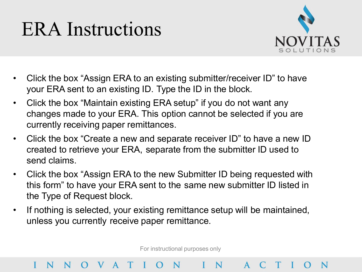### ERA Instructions

N

V A T



- Click the box "Assign ERA to an existing submitter/receiver ID" to have your ERA sent to an existing ID. Type the ID in the block.
- Click the box "Maintain existing ERA setup" if you do not want any changes made to your ERA. This option cannot be selected if you are currently receiving paper remittances.
- Click the box "Create a new and separate receiver ID" to have a new ID created to retrieve your ERA, separate from the submitter ID used to send claims.
- Click the box "Assign ERA to the new Submitter ID being requested with this form" to have your ERA sent to the same new submitter ID listed in the Type of Request block.
- If nothing is selected, your existing remittance setup will be maintained, unless you currently receive paper remittance.

For instructional purposes only

 $N$ 

N N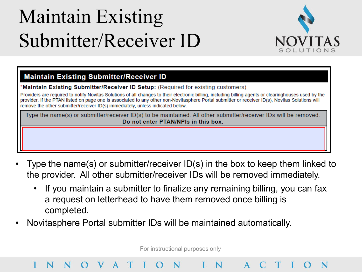## Maintain Existing Submitter/Receiver ID

V A T



### **Maintain Existing Submitter/Receiver ID**

Maintain Existing Submitter/Receiver ID Setup: (Required for existing customers)

Providers are required to notify Novitas Solutions of all changes to their electronic billing, including billing agents or clearinghouses used by the provider. If the PTAN listed on page one is associated to any other non-Novitasphere Portal submitter or receiver ID(s), Novitas Solutions will remove the other submitter/receiver ID(s) immediately, unless indicated below.

Type the name(s) or submitter/receiver ID(s) to be maintained. All other submitter/receiver IDs will be removed. Do not enter PTAN/NPIs in this box.

- Type the name(s) or submitter/receiver ID(s) in the box to keep them linked to the provider. All other submitter/receiver IDs will be removed immediately.
	- If you maintain a submitter to finalize any remaining billing, you can fax a request on letterhead to have them removed once billing is completed.
- Novitasphere Portal submitter IDs will be maintained automatically.

For instructional purposes only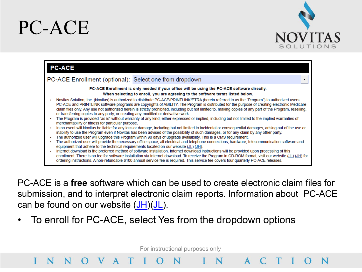### PC-ACE





PC-ACE is a **free** software which can be used to create electronic claim files for submission, and to interpret electronic claim reports. Information about PC-ACE can be found on our website  $(JH)(JL)$  $(JH)(JL)$  $(JH)(JL)$  $(JH)(JL)$ .

• To enroll for PC-ACE, select Yes from the dropdown options

For instructional purposes only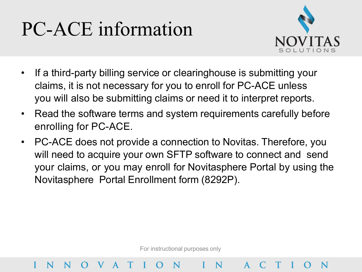### PC-ACE information

V A T



- If a third-party billing service or clearinghouse is submitting your claims, it is not necessary for you to enroll for PC-ACE unless you will also be submitting claims or need it to interpret reports.
- Read the software terms and system requirements carefully before enrolling for PC-ACE.
- PC-ACE does not provide a connection to Novitas. Therefore, you will need to acquire your own SFTP software to connect and send your claims, or you may enroll for Novitasphere Portal by using the Novitasphere Portal Enrollment form (8292P).

For instructional purposes only

N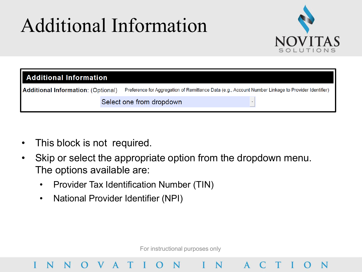### Additional Information



| Additional Information             |  |                                                                                                     |  |
|------------------------------------|--|-----------------------------------------------------------------------------------------------------|--|
| Additional Information: (Optional) |  | Preference for Aggregation of Remittance Data (e.g., Account Number Linkage to Provider Identifier) |  |
|                                    |  | Select one from dropdown                                                                            |  |

- This block is not required.
- Skip or select the appropriate option from the dropdown menu. The options available are:
	- Provider Tax Identification Number (TIN)
	- National Provider Identifier (NPI)

V A

N

For instructional purposes only

 $\mathsf{A}$ 

N

 $\mathbf N$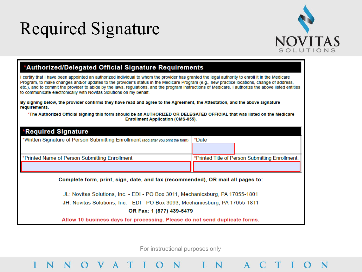### Required Signature



### \*Authorized/Delegated Official Signature Requirements

O V A T

N

I certify that I have been appointed an authorized individual to whom the provider has granted the legal authority to enroll it in the Medicare Program, to make changes and/or updates to the provider's status in the Medicare Program (e.g., new practice locations, change of address, etc.), and to commit the provider to abide by the laws, regulations, and the program instructions of Medicare. I authorize the above listed entities to communicate electronically with Novitas Solutions on my behalf.

By signing below, the provider confirms they have read and agree to the Agreement, the Attestation, and the above signature requirements.

\*The Authorized Official signing this form should be an AUTHORIZED OR DELEGATED OFFICIAL that was listed on the Medicare **Enrollment Application (CMS-855).** 

| <b>Required Signature</b> *                                                       |                                                 |  |  |  |
|-----------------------------------------------------------------------------------|-------------------------------------------------|--|--|--|
| *Written Signature of Person Submitting Enrollment (add after you print the form) | *Date                                           |  |  |  |
|                                                                                   |                                                 |  |  |  |
| *Printed Name of Person Submitting Enrollment                                     | *Printed Title of Person Submitting Enrollment: |  |  |  |
|                                                                                   |                                                 |  |  |  |
| Complete form, print, sign, date, and fax (recommended), OR mail all pages to:    |                                                 |  |  |  |
| JL: Novitas Solutions, Inc. - EDI - PO Box 3011, Mechanicsburg, PA 17055-1801     |                                                 |  |  |  |
| JH: Novitas Solutions, Inc. - EDI - PO Box 3093, Mechanicsburg, PA 17055-1811     |                                                 |  |  |  |
| OR Fax: 1 (877) 439-5479                                                          |                                                 |  |  |  |
| Allow 10 business days for processing. Please do not send duplicate forms.        |                                                 |  |  |  |

For instructional purposes only

N

A C T

 $N$   $\sim$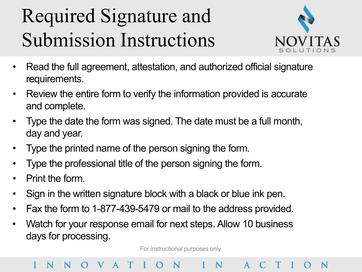### Required Signature and Submission Instructions



- Read the full agreement, attestation, and authorized official signature requirements.
- Review the entire form to verify the information provided is accurate and complete.
- Type the date the form was signed. The date must be a full month, day and year.
- Type the printed name of the person signing the form.
- Type the professional title of the person signing the form.
- Print the form.
- Sign in the written signature block with a black or blue ink pen.
- Fax the form to 1-877-439-5479 or mail to the address provided.
- Watch for your response email for next steps. Allow 10 business days for processing.

For instructional purposes only

### VATI ON IN A C T N N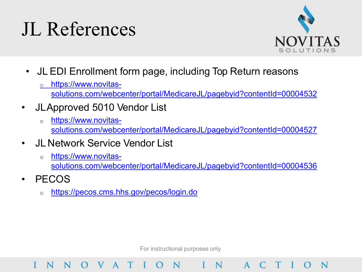### JL References



- JL EDI Enrollment form page, including Top Return reasons
	- o https://www.novitas
		- [solutions.com/webcenter/portal/MedicareJL/pagebyid?contentId=00004532](https://www.novitas-solutions.com/webcenter/portal/MedicareJL/pagebyid?contentId=00004532)
- JLApproved 5010 Vendor List
	- o https://www.novitas[solutions.com/webcenter/portal/MedicareJL/pagebyid?contentId=00004527](https://www.novitas-solutions.com/webcenter/portal/MedicareJL/pagebyid?contentId=00004527)
- JL Network Service Vendor List
	- o https://www.novitas[solutions.com/webcenter/portal/MedicareJL/pagebyid?contentId=00004536](https://www.novitas-solutions.com/webcenter/portal/MedicareJL/pagebyid?contentId=00004536)
- PECOS

N

o <https://pecos.cms.hhs.gov/pecos/login.do>

V A T

For instructional purposes only

N

 $A$ 

 $O N$